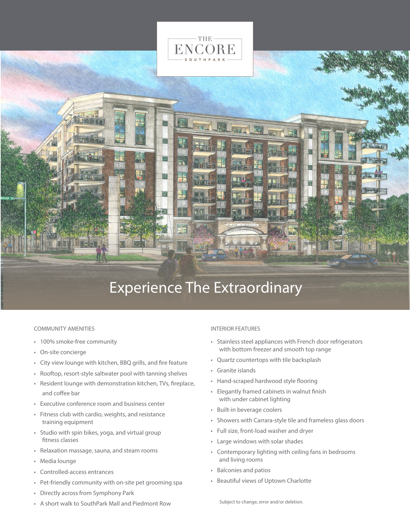

# Experience The Extraordinary

#### **COMMUNITY AMENITIES**

- 100% smoke-free community
- On-site concierge
- City view lounge with kitchen, BBQ grills, and fire feature
- Rooftop, resort-style saltwater pool with tanning shelves
- Resident lounge with demonstration kitchen, TVs, fireplace, and coffee bar
- Executive conference room and business center
- Fitness club with cardio, weights, and resistance training equipment
- Studio with spin bikes, yoga, and virtual group fitness classes
- Relaxation massage, sauna, and steam rooms
- Media lounge
- Controlled-access entrances
- Pet-friendly community with on-site pet grooming spa
- Directly across from Symphony Park
- A short walk to SouthPark Mall and Piedmont Row

## **INTERIOR FEATURES**

- Stainless steel appliances with French door refrigerators with bottom freezer and smooth top range
- Quartz countertops with tile backsplash
- Granite islands
- Hand-scraped hardwood style flooring
- Elegantly framed cabinets in walnut finish with under cabinet lighting
- Built-in beverage coolers
- Showers with Carrara-style tile and frameless glass doors
- Full size, front-load washer and dryer
- Large windows with solar shades
- Contemporary lighting with ceiling fans in bedrooms and living rooms
- Balconies and patios
- Beautiful views of Uptown Charlotte

Subject to change, error and/or deletion.